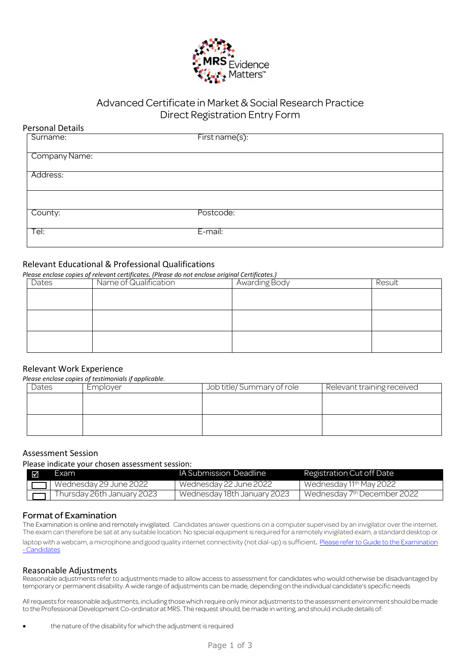

# Advanced Certificate in Market & Social Research Practice Direct Registration Entry Form

# **Personal Details**<br>
Surname:

First name(s):

|               | $\sim$ $\sim$ |
|---------------|---------------|
| Company Name: |               |
| Address:      |               |
|               |               |
|               |               |
|               |               |
| County:       | Postcode:     |
|               |               |
| Tel:          | E-mail:       |
|               |               |

# Relevant Educational & Professional Qualifications

*Please enclose copies of relevant certificates. (Please do not enclose original Certificates.)* 

| Dates | Name of Qualification | Awarding Body | Result |
|-------|-----------------------|---------------|--------|
|       |                       |               |        |
|       |                       |               |        |
|       |                       |               |        |
|       |                       |               |        |
|       |                       |               |        |
|       |                       |               |        |

# Relevant Work Experience

*Please enclose copies of testimonials if applicable.* 

| rease enerose copies of testimoniais if applicable. |       |          |                           |                            |
|-----------------------------------------------------|-------|----------|---------------------------|----------------------------|
|                                                     | Dates | Employer | Job title/Summary of role | Relevant training received |
|                                                     |       |          |                           |                            |
|                                                     |       |          |                           |                            |
|                                                     |       |          |                           |                            |
|                                                     |       |          |                           |                            |
|                                                     |       |          |                           |                            |

# Assessment Session

Please indicate your chosen assessment session:

| ⊠ | Exam                            | <b>IA Submission Deadline</b> | Registration Cut off Date               |
|---|---------------------------------|-------------------------------|-----------------------------------------|
|   | $\Box$   Wednesday 29 June 2022 | Wednesday 22 June 2022        | Wednesday 11 <sup>th</sup> May 2022     |
|   | Thursday 26th January 2023      | Wednesday 18th January 2023   | Wednesday 7 <sup>th</sup> December 2022 |

# Format of Examination

The Examination is online and remotely invigilated. Candidates answer questions on a computer supervised by an invigilator over the internet. The exam can therefore be sat at any suitable location. No special equipment is required for a remotely invigilated exam, a standard desktop or laptop with a webcam, a microphone and good quality internet connectivity (not dial-up) is sufficient. Please refer to Guide to the Examination - Candidates

#### Reasonable Adjustments

Reasonable adjustments refer to adjustments made to allow access to assessment for candidates who would otherwise be disadvantaged by temporary or permanent disability. A wide range of adjustments can be made, depending on the individual candidate's specific needs

All requests for reasonable adjustments, including those which require only minor adjustments to the assessment environment should be made to the Professional Development Co-ordinator at MRS. The request should, be made in writing, and should include details of: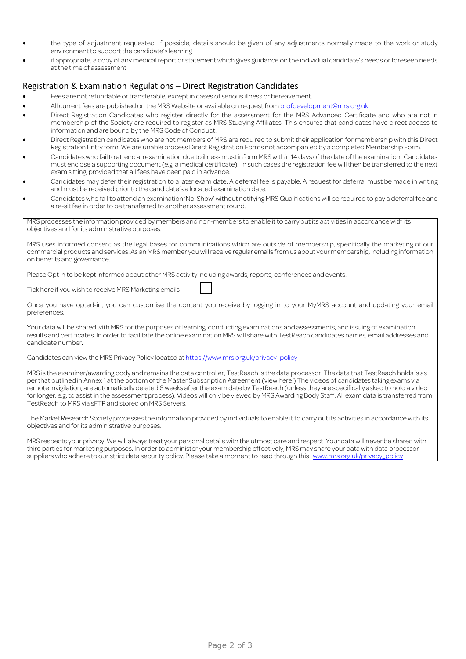- the type of adjustment requested. If possible, details should be given of any adjustments normally made to the work or study environment to support the candidate's learning
- if appropriate, a copy of any medical report or statement which gives guidance on the individual candidate's needs or foreseen needs at the time of assessment

#### Registration & Examination Regulations – Direct Registration Candidates

- Fees are not refundable or transferable, except in cases of serious illness or bereavement.
- All current fees are published on the MRS Website or available on request from profdevelopment@mrs.org.uk
- Direct Registration Candidates who register directly for the assessment for the MRS Advanced Certificate and who are not in membership of the Society are required to register as MRS Studying Affiliates. This ensures that candidates have direct access to information and are bound by the MRS Code of Conduct.
- Direct Registration candidates who are not members of MRS are required to submit their application for membership with this Direct Registration Entry form. We are unable process Direct Registration Forms not accompanied by a completed Membership Form.
- Candidates who fail to attend an examination due to illness must inform MRS within 14 days of the date of the examination. Candidates must enclose a supporting document (e.g. a medical certificate). In such cases the registration fee will then be transferred to the next exam sitting, provided that all fees have been paid in advance.
- Candidates may defer their registration to a later exam date. A deferral fee is payable. A request for deferral must be made in writing and must be received prior to the candidate's allocated examination date.
- Candidates who fail to attend an examination 'No-Show' without notifying MRS Qualifications will be required to pay a deferral fee and a re-sit fee in order to be transferred to another assessment round.

MRS processes the information provided by members and non-members to enable it to carry out its activities in accordance with its objectives and for its administrative purposes.

MRS uses informed consent as the legal bases for communications which are outside of membership, specifically the marketing of our commercial products and services. As an MRS member you will receive regular emails from us about your membership, including information on benefits and governance.

Please Opt in to be kept informed about other MRS activity including awards, reports, conferences and events.

Tick here if you wish to receive MRS Marketing emails

Once you have opted-in, you can customise the content you receive by logging in to your MyMRS account and updating your email preferences.

Your data will be shared with MRS for the purposes of learning, conducting examinations and assessments, and issuing of examination results and certificates. In order to facilitate the online examination MRS will share with TestReach candidates names, email addresses and candidate number.

Candidates can view the MRS Privacy Policy located at https://www.mrs.org.uk/privacy\_policy

MRS is the examiner/awarding body and remains the data controller, TestReach is the data processor. The data that TestReach holds is as per that outlined in Annex 1 at the bottom of the Master Subscription Agreement (view here.) The videos of candidates taking exams via remote invigilation, are automatically deleted 6 weeks after the exam date by TestReach (unless they are specifically asked to hold a video for longer, e.g. to assist in the assessment process). Videos will only be viewed by MRS Awarding Body Staff. All exam data is transferred from TestReach to MRS via sFTP and stored on MRS Servers.

The Market Research Society processes the information provided by individuals to enable it to carry out its activities in accordance with its objectives and for its administrative purposes.

MRS respects your privacy. We will always treat your personal details with the utmost care and respect. Your data will never be shared with third parties for marketing purposes. In order to administer your membership effectively, MRS may share your data with data processor suppliers who adhere to our strict data security policy. Please take a moment to read through this. www.mrs.org.uk/privacy\_policy